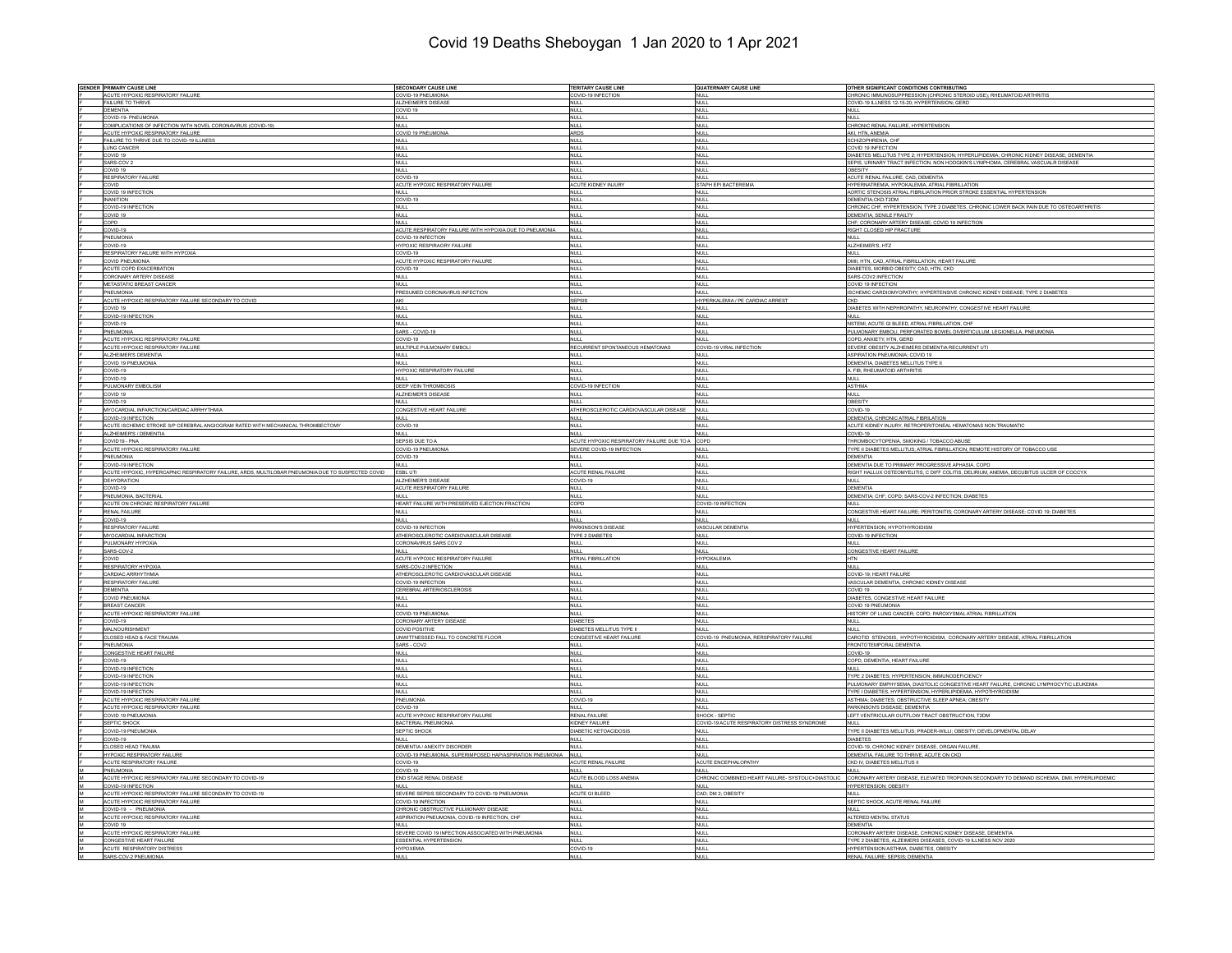## Covid 19 Deaths Sheboygan 1 Jan 2020 to 1 Apr 2021

| <b>GENDER PRIMARY CAUSE LINE</b>                                                                  | <b>SECONDARY CAUSE LINE</b>                                    | <b>TERITARY CAUSE LINE</b>                      | <b>QUATERNARY CAUSE LINE</b>                       | OTHER SIGNIFICANT CONDITIONS CONTRIBUTING                                                                           |
|---------------------------------------------------------------------------------------------------|----------------------------------------------------------------|-------------------------------------------------|----------------------------------------------------|---------------------------------------------------------------------------------------------------------------------|
| ACUTE HYPOXIC RESPIRATORY FAILURE                                                                 | COVID-19 PNEUMONIA                                             | COVID-19 INFECTION                              | <b>NULL</b>                                        | CHRONIC IMMUNOSUPPRESSION (CHRONIC STEROID USE); RHEUMATOID ARTHRITIS                                               |
| FAILURE TO THRIVE                                                                                 | ALZHEIMER'S DISEASE                                            | <b>NULL</b>                                     | <b>NULL</b>                                        | OVID-19 ILLNESS 12-15-20; HYPERTENSION; GERD                                                                        |
| <b>DEMENTIA</b>                                                                                   | COVID 19                                                       | <b>NULL</b>                                     | <b>NULL</b>                                        | NULL                                                                                                                |
| COVID-19- PNEUMONIA                                                                               | <b>NULL</b>                                                    | <b>NULL</b>                                     | NULL                                               | <b>NULL</b>                                                                                                         |
| COMPLICATIONS OF INFECTION WITH NOVEL CORONAVIRUS (COVID-19)                                      | NULL.                                                          | NULL.                                           | NULL.                                              | CHRONIC RENAL FAILURE, HYPERTENSION                                                                                 |
| ACUTE HYPOXIC RESPIRATORY FAILURE                                                                 | COVID 19 PNEUMONIA<br>NULL                                     | <b>ARDS</b><br>NULL                             | INULL<br>NULL                                      | AKI. HTN. ANEMIA<br>SCHIZOPHRENIA, CHF                                                                              |
| FAILURE TO THRIVE DUE TO COVID-19 ILLNESS<br><b>LUNG CANCER</b>                                   | NULL                                                           | <b>NULL</b>                                     | NULL                                               | COVID 19 INFECTION                                                                                                  |
| COVID 19                                                                                          | NULL                                                           | <b>NULL</b>                                     | <b>NULL</b>                                        | DIABETES MELLITUS TYPE 2; HYPERTENSION; HYPERLIPIDEMIA; CHRONIC KIDNEY DISEASE; DEMENTIA                            |
| SARS-COV 2                                                                                        | NULL                                                           | <b>NULL</b>                                     | <b>NULL</b>                                        | SEPIS, URINARY TRACT INFECTION, NON HODGKIN'S LYMPHOMA, CEREBRAL VASCUALR DISEASE                                   |
| COVID 19                                                                                          | <b>NULL</b>                                                    | <b>NULL</b>                                     | <b>NULL</b>                                        | DBESITY                                                                                                             |
| <b>RESPIRATORY FAILURE</b>                                                                        | COVID-19                                                       | <b>NULL</b>                                     | NULL                                               | ACUTE RENAL FAILURE, CAD, DEMENTIA                                                                                  |
| <b>COVID</b>                                                                                      | ACUTE HYPOXIC RESPIRATORY FAILURE                              | ACUTE KIDNEY INJURY                             | STAPH EPI BACTEREMIA                               | HYPERNATREMIA, HYPOKALEMIA, ATRIAL FIBRILLATION                                                                     |
| COVID 19 INFECTION                                                                                | NULL                                                           | <b>NULL</b>                                     | NULL                                               | AORTIC STENOSIS ATRIAL FIBRILIATION PRIOR STROKE ESSENTIAL HYPERTENSION                                             |
| <b>INANITION</b>                                                                                  | COVID-19                                                       | <b>NULL</b>                                     | <b>NULL</b>                                        | DEMENTIA;CKD;T2DM                                                                                                   |
| COVID-19 INFECTION                                                                                | NULL                                                           | <b>NULL</b>                                     | <b>NULL</b>                                        | CHRONIC CHF, HYPERTENSION, TYPE 2 DIABETES, CHRONIC LOWER BACK PAIN DUE TO OSTEOARTHRITIS                           |
| COVID 19                                                                                          | <b>NULL</b><br>NULL                                            | <b>NULL</b>                                     | <b>NULL</b>                                        | DEMENTIA, SENILE FRAILTY                                                                                            |
| COPD<br>COVID-19                                                                                  | ACUTE RESPIRATORY FAILURE WITH HYPOXIA DUE TO PNEUMONIA        | <b>NULL</b><br><b>NULL</b>                      | <b>NULL</b><br>NULL                                | CHF; CORONARY ARTERY DISEASE; COVID 19 INFECTION<br>RIGHT CLOSED HIP FRACTURE                                       |
| PNEUMONIA                                                                                         | COVID-19 INFECTION                                             | <b>NULL</b>                                     | NULL                                               | <b>NULL</b>                                                                                                         |
| COVID-19                                                                                          | <b>HYPOXIC RESPIRAORY FAILURE</b>                              | <b>NULL</b>                                     | <b>NULL</b>                                        | ALZHEIMER'S, HTZ                                                                                                    |
| RESPIRATORY FAILURE WITH HYPOXIA                                                                  | COVID-19                                                       | <b>NULL</b>                                     | NULL                                               | <b>NULL</b>                                                                                                         |
| COVID PNEUMONIA                                                                                   | ACUTE HYPOXIC RESPIRATORY FAILURE                              | <b>NULL</b>                                     | <b>NULL</b>                                        | DMII, HTN, CAD, ATRIAL FIBRILLATION, HEART FAILURE                                                                  |
| ACUTE COPD EXACERBATION                                                                           | COVID-19                                                       | <b>NULL</b>                                     | NULL                                               | DIABETES, MORBID OBESITY, CAD, HTN, CKD                                                                             |
| <b>CORONARY ARTERY DISEASE</b>                                                                    | NULL                                                           | <b>NULL</b>                                     | <b>NULL</b>                                        | SARS-COV2 INFECTION                                                                                                 |
| METASTATIC BREAST CANCER                                                                          | <b>NULL</b>                                                    | <b>NULL</b>                                     | NULL                                               | COVID 19 INFECTION                                                                                                  |
| PNEUMONIA                                                                                         | PRESUMED CORONAVIRUS INFECTION                                 | <b>NULL</b>                                     | NULL                                               | SCHEMIC CARDIOMYOPATHY; HYPERTENSIVE CHRONIC KIDNEY DISEASE; TYPE 2 DIABETES                                        |
| ACUTE HYPOXIC RESPIRATORY FAILURE SECONDARY TO COVID                                              | AKI                                                            | <b>SEPSIS</b>                                   | HYPERKALEMIA / PE CARDIAC ARREST                   |                                                                                                                     |
| COVID 19                                                                                          | NULL                                                           | <b>NULL</b>                                     | <b>NULL</b>                                        | DIABETES WITH NEPHROPATHY, NEUROPATHY, CONGESTIVE HEART FAILURE                                                     |
| COVID-19 INFECTION                                                                                | NULL                                                           | <b>NULL</b>                                     | NULL                                               | <b>NULL</b>                                                                                                         |
| COVID-19                                                                                          | NULL                                                           | <b>NULL</b>                                     | NULL                                               | NSTEMI, ACUTE GI BLEED, ATRIAL FIBRILLATION, CHF                                                                    |
| PNEUMONIA                                                                                         | SARS - COVID-19                                                | <b>NULL</b>                                     | <b>NULL</b>                                        | PULMONARY EMBOLI, PERFORATED BOWEL DIVERTICULUM, LEGIONELLA, PNEUMONIA                                              |
| ACUTE HYPOXIC RESPIRATORY FAILURE                                                                 | COVID-19                                                       | <b>NULL</b>                                     | NULL                                               | OPD, ANXIETY, HTN, GERD                                                                                             |
| ACUTE HYPOXIC RESPIRATORY FAILURE                                                                 | MULTIPLE PULMONARY EMBOLI                                      | RECURRENT SPONTANEOUS HEMATOMAS                 | COVID-19 VIRAL INFECTION                           | SEVERE OBESITY ALZHEIMERS DEMENTIA RECURRENT UTI                                                                    |
| ALZHEIMER'S DEMENTIA                                                                              | <b>NULL</b>                                                    | <b>NULL</b>                                     | NULL                                               | <b>SPIRATION PNEUMONIA; COVID 19</b>                                                                                |
| COVID 19 PNEUMONIA                                                                                | NULL                                                           | <b>NULL</b>                                     | <b>NULL</b>                                        | DEMENTIA, DIABETES MELLITUS TYPE II<br>. FIB; RHEUMATOID ARTHRITIS                                                  |
| COVID-19<br>COVID-19                                                                              | <b>HYPOXIC RESPIRATORY FAILURE</b><br>NULL                     | <b>NULL</b><br><b>NULL</b>                      | <b>NULL</b><br>NULL <sub></sub>                    | <b>NULL</b>                                                                                                         |
| PULMONARY EMBOLISM                                                                                | DEEP VEIN THROMBOSIS                                           | COVID-19 INFECTION                              | <b>NULL</b>                                        | <b>ASTHMA</b>                                                                                                       |
| COVID 19                                                                                          | ALZHEIMER'S DISEASE                                            | <b>NULL</b>                                     | <b>NULL</b>                                        | <b>NULL</b>                                                                                                         |
| COVID-19                                                                                          | <b>NULL</b>                                                    | <b>NULL</b>                                     | <b>NULL</b>                                        | OBESITY                                                                                                             |
| MYOCARDIAL INFARCTION/CARDIAC ARRHYTHMIA                                                          | CONGESTIVE HEART FAILURE                                       | ATHEROSCLEROTIC CARDIOVASCULAR DISEASE          | <b>NULL</b>                                        | COVID-19                                                                                                            |
| COVID-19 INFECTION                                                                                | NULL                                                           | <b>NULL</b>                                     | NULL                                               | DEMENTIA, CHRONIC ATRIAL FIBRILATION                                                                                |
| ACUTE ISCHEMIC STROKE S/P CEREBRAL ANGIOGRAM RATED WITH MECHANICAL THROMBECTOMY                   | COVID-19                                                       | <b>NULL</b>                                     | <b>NULL</b>                                        | ACUTE KIDNEY INJURY, RETROPERITONEAL HEMATOMAS NON TRAUMATIC                                                        |
| ALZHEIMER'S / DEMENTIA                                                                            | <b>NULL</b>                                                    | <b>NULL</b>                                     | <b>NULL</b>                                        | COVID-19                                                                                                            |
| COVID19 - PNA                                                                                     | SEPSIS DUE TO A                                                | ACUTE HYPOXIC RESPIRATORY FAILURE DUE TO A COPD |                                                    | THROMBOCYTOPENIA, SMOKING / TOBACCO ABUSE                                                                           |
| ACUTE HYPOXIC RESPIRATORY FAILURE                                                                 | COVID-19 PNEUMONIA                                             | SEVERE COVID-19 INFECTION                       | NULL                                               | TYPE II DIABETES MELLITUS; ATRIAL FIBRILLATION; REMOTE HISTORY OF TOBACCO USE                                       |
| PNEUMONIA                                                                                         | COVID-19                                                       | <b>NULL</b>                                     | <b>NULL</b>                                        | <b>DEMENTIA</b>                                                                                                     |
| COVID-19 INFECTION                                                                                | <b>NULL</b>                                                    | <b>NULL</b>                                     | <b>NULL</b>                                        | DEMENTIA DUE TO PRIMARY PROGRESSIVE APHASIA, COPD                                                                   |
| ACUTE HYPOXIC, HYPERCAPNIC RESPIRATORY FAILURE, ARDS, MULTILOBAR PNEUMONIA DUE TO SUSPECTED COVID | ESBL UTI                                                       | ACUTE RENAL FAILURE                             | <b>NULL</b>                                        | RIGHT HALLUX OSTEOMYELITIS, C DIFF COLITIS, DELIRIUM, ANEMIA, DECUBITUS ULCER OF COCCYX                             |
| DEHYDRATION                                                                                       | ALZHEIMER'S DISEASE                                            | COVID-19                                        | <b>NULL</b>                                        | NULL                                                                                                                |
| COVID-19                                                                                          | ACUTE RESPIRATORY FAILURE                                      | <b>NULL</b>                                     | NULL                                               | DEMENTIA                                                                                                            |
| PNEUMONIA, BACTERIAL                                                                              | <b>NULL</b>                                                    | <b>NULL</b>                                     | <b>NULL</b>                                        | DEMENTIA; CHF; COPD; SARS-COV-2 INFECTION; DIABETES                                                                 |
| ACUTE ON CHRONIC RESPIRATORY FAILURE                                                              | HEART FAILURE WITH PRESERVED EJECTION FRACTION                 | COPD                                            | COVID-19 INFECTION                                 | NULL                                                                                                                |
| <b>RENAL FAILURE</b>                                                                              | <b>NULL</b>                                                    | <b>NULL</b>                                     | <b>NULL</b>                                        | CONGESTIVE HEART FAILURE; PERITONITIS; CORONARY ARTERY DISEASE; COVID 19; DIABETES                                  |
| COVID-19                                                                                          | NULL                                                           | <b>NULL</b>                                     | <b>NULL</b>                                        | <b>NULL</b>                                                                                                         |
| <b>RESPIRATORY FAILURE</b>                                                                        | COVID-19 INFECTION                                             | PARKINSON'S DISEASE                             | VASCULAR DEMENTIA                                  | HYPERTENSION, HYPOTHYROIDISM                                                                                        |
| <b>MYOCARDIAL INFARCTION</b><br>PULMONARY HYPOXIA                                                 | ATHEROSCLEROTIC CARDIOVASCULAR DISEASE                         | TYPE 2 DIABETES                                 | <b>NULL</b>                                        | COVID-19 INFECTION                                                                                                  |
| SARS-COV-2                                                                                        | CORONAVIRUS SARS COV 2                                         | <b>NULL</b>                                     | NULL                                               | NULL<br>CONGESTIVE HEART FAILURE                                                                                    |
| COVID                                                                                             | NULL<br>ACUTE HYPOXIC RESPIRATORY FAILURE                      | <b>NULL</b><br>ATRIAL FIBRILLATION              | <b>NULL</b><br><b>HYPOKALEMIA</b>                  | HTN                                                                                                                 |
| RESPIRATORY HYPOXIA                                                                               | SARS-COV-2 INFECTION                                           | <b>NULL</b>                                     | <b>NULL</b>                                        | <b>NULL</b>                                                                                                         |
| CARDIAC ARRHYTHMIA                                                                                | ATHEROSCLEROTIC CARDIOVASCULAR DISEASE                         | <b>NULL</b>                                     | <b>NULL</b>                                        | COVID-19; HEART FAILURE                                                                                             |
| <b>RESPIRATORY FAILURE</b>                                                                        | COVID-19 INFECTION                                             | <b>NULL</b>                                     | <b>NULL</b>                                        | VASCULAR DEMENTIA, CHRONIC KIDNEY DISEASE                                                                           |
| DEMENTIA                                                                                          | CEREBRAL ARTERIOSCLEROSIS                                      | <b>NULL</b>                                     | <b>NULL</b>                                        | COVID 19                                                                                                            |
| COVID PNEUMONIA                                                                                   | NULL                                                           | <b>NULL</b>                                     | <b>NULL</b>                                        | DIABETES, CONGESTIVE HEART FAILURE                                                                                  |
| <b>BREAST CANCER</b>                                                                              | NULL                                                           | <b>NULL</b>                                     | <b>NULL</b>                                        | COVID 19 PNEUMONIA                                                                                                  |
| ACUTE HYPOXIC RESPIRATORY FAILURE                                                                 | COVID-19 PNEUMONIA                                             | <b>NULL</b>                                     | <b>NULL</b>                                        | HISTORY OF LUNG CANCER; COPD; PAROXYSMAL ATRIAL FIBRILLATION                                                        |
| COVID-19                                                                                          | <b>CORONARY ARTERY DISEASE</b>                                 | <b>DIABETES</b>                                 | NULL                                               | <b>NULL</b>                                                                                                         |
| MALNOURISHMENT                                                                                    | <b>COVID POSITIVE</b>                                          | DIABETES MELLITUS TYPE II                       | <b>NULL</b>                                        | <b>NULL</b>                                                                                                         |
| CLOSED HEAD & FACE TRAUMA                                                                         | UNWITTNESSED FALL TO CONCRETE FLOOR                            | <b>CONGESTIVE HEART FAILURE</b>                 | COVID-19 PNEUMONIA, RERSPIRATORY FAILURE           | CAROTID STENOSIS, HYPOTHYROIDISM, CORONARY ARTERY DISEASE, ATRIAL FIBRILLATION                                      |
| PNEUMONIA                                                                                         | SARS - COV2                                                    | <b>NULL</b>                                     | <b>NULL</b>                                        | FRONTOTEMPORAL DEMENTIA                                                                                             |
| CONGESTIVE HEART FAILURE                                                                          | NULL                                                           | <b>NULL</b>                                     | <b>NULL</b>                                        | COVID-19                                                                                                            |
| COVID-19                                                                                          | NULL                                                           | <b>NULL</b>                                     | <b>NULL</b>                                        | COPD, DEMENTIA, HEART FAILURE                                                                                       |
| COVID-19 INFECTION                                                                                | NULL                                                           | <b>NULL</b>                                     | <b>NULL</b>                                        | NULL                                                                                                                |
| COVID-19 INFECTION                                                                                | NULL                                                           | <b>NULL</b>                                     | NULL                                               | TYPE 2 DIABETES: HYPERTENSION: IMMUNODEFICIENCY                                                                     |
| COVID-19 INFECTION                                                                                | <b>NULL</b>                                                    | <b>NULL</b>                                     | NULL                                               | PULMONARY EMPHYSEMA, DIASTOLIC CONGESTIVE HEART FAILURE, CHRONIC LYMPHOCYTIC LEUKEMIA                               |
| COVID-19 INFECTION<br>ACUTE HYPOXIC RESPIRATORY FAILURE                                           | NULL<br>PNEUMONIA                                              | <b>NULL</b>                                     | <b>NULL</b><br>NULL                                | TYPE I DIABETES, HYPERTENSION, HYPERLIPIDEMIA, HYPOTHYROIDISM<br>ASTHMA; DIABETES; OBSTRUCTIVE SLEEP APNEA; OBESITY |
| ACUTE HYPOXIC RESPIRATORY FAILURE                                                                 | COVID-19                                                       | COVID-19<br><b>NULL</b>                         | <b>NULL</b>                                        | PARKINSON'S DISEASE: DEMENTIA                                                                                       |
| COVID 19 PNEUMONIA                                                                                | ACUTE HYPOXIC RESPIRATORY FAILURE                              | <b>RENAL FAILURE</b>                            | SHOCK - SEPTIC                                     | LEFT VENTRICULAR OUTFLOW TRACT OBSTRUCTION, T2DM                                                                    |
| SEPTIC SHOCK                                                                                      | <b>BACTERIAL PNEUMONIA</b>                                     | KIDNEY FAILURE                                  | COVID-19 ACUTE RESPIRATORY DISTRESS SYNDROME       | <b>NULL</b>                                                                                                         |
| COVID-19 PNEUMONI                                                                                 | SEPTIC SHOCK                                                   | <b>DIABETIC KETOACIDOSIS</b>                    | <b>NULL</b>                                        | TYPE II DIABETES MELLITUS; PRADER-WILLI; OBESITY; DEVELOPMENTAL DELAY                                               |
| COVID-19                                                                                          | NULL                                                           | NULL                                            | <b>NULL</b>                                        | <b>DIABETES</b>                                                                                                     |
| <b>CLOSED HEAD TRAUMA</b>                                                                         | <b>DEMENTIA/ANEXITY DISORDER</b>                               | <b>NULL</b>                                     | NULL                                               | COVID-19, CHRONIC KIDNEY DISEASE, ORGAN FAILURE                                                                     |
| HYPOXIC RESPIRATORY FAILURE                                                                       | COVID-19 PNEUMONIA, SUPERIMPOSED HAP/ASPIRATION PNEUMONIA NULL |                                                 | <b>NULL</b>                                        | DEMENTIA, FAILURE TO THRIVE, ACUTE ON CKD                                                                           |
| ACUTE RESPIRATORY FAILURE                                                                         | COVID-19                                                       | ACUTE RENAL FAILURE                             | ACUTE ENCEPHALOPATHY                               | CKD IV. DIABETES MELLITUS II                                                                                        |
| PNEUMONIA                                                                                         | COVID-19                                                       | <b>NULL</b>                                     | <b>NULL</b>                                        | NULL                                                                                                                |
| ACUTE HYPOXIC RESPIRATORY FAILURE SECONDARY TO COVID-19                                           | END STAGE RENAL DISEASE                                        | ACUTE BLOOD LOSS ANEMIA                         | CHRONIC COMBINED HEART FAILURE- SYSTOLIC+DIASTOLIC | CORONARY ARTERY DISEASE, ELEVATED TROPONIN SECONDARY TO DEMAND ISCHEMIA, DMII, HYPERLIPIDEMI                        |
| COVID-19 INFECTION                                                                                | NULL                                                           | NULL                                            | NULLI                                              | <b>HYPERTENSION: OBESITY</b>                                                                                        |
| ACUTE HYPOXIC RESPIRATORY FAILURE SECONDARY TO COVID-19                                           | SEVERE SEPSIS SECONDARY TO COVID-19 PNEUMONIA                  | ACUTE GI BLEED                                  | CAD; DM 2; OBESITY                                 | <b>NULL</b>                                                                                                         |
| ACUTE HYPOXIC RESPIRATORY FAILURE                                                                 | COVID-19 INFECTION                                             | <b>NULL</b>                                     | NULL                                               | SEPTIC SHOCK, ACUTE RENAL FAILURE                                                                                   |
| M<br>COVID-19 - PNEUMONIA                                                                         | CHRONIC OBSTRUCTIVE PULMONARY DISEASE                          | <b>NULL</b>                                     | <b>NULL</b>                                        | NULL.                                                                                                               |
| ACUTE HYPOXIC RESPIRATORY FAILURE<br>lм.                                                          | ASPIRATION PNEUMONIA, COVID-19 INFECTION, CHF                  | <b>NULL</b>                                     | <b>NULL</b>                                        | ALTERED MENTAL STATUS                                                                                               |
| COVID 19                                                                                          | NULL                                                           | <b>NULL</b>                                     | NULL                                               | DEMENTIA                                                                                                            |
| ACUTE HYPOXIC RESPIRATORY FAILURE                                                                 | SEVERE COVID 19 INFECTION ASSOCIATED WITH PNEUMONIA            | <b>NULL</b>                                     | <b>NULL</b>                                        | CORONARY ARTERY DISEASE, CHRONIC KIDNEY DISEASE, DEMENTIA                                                           |
| CONGESTIVE HEART FAILURE                                                                          | ESSENTIAL HYPERTENSION                                         | <b>NULL</b>                                     | <b>NULL</b>                                        | TYPE 2 DIABETES, ALZEIMERS DISEASES, COVID-19 ILLNESS NOV 2020                                                      |
| <b>ACUTE RESPIRATORY DISTRESS</b>                                                                 | <b>HYPOXEMIA</b>                                               | COVID-19                                        | NULL.                                              | <b>HYPERTENSION ASTHMA, DIABETES, OBESITY</b>                                                                       |
| M<br>SARS-COV-2 PNEUMONIA                                                                         | <b>NULL</b>                                                    | <b>NULL</b>                                     | NULL                                               | RENAL FAILURE: SEPSIS: DEMENTIA                                                                                     |